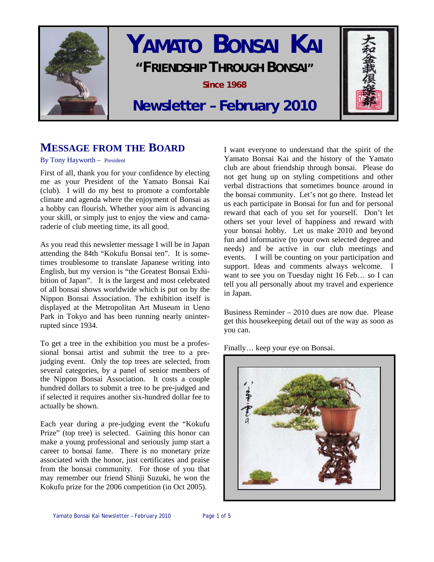

# **YAMATO BONSAI KAI "FRIENDSHIP THROUGH BONSAI" Since 1968**



## **Newsletter – February 2010**

### **MESSAGE FROM THE BOARD**

#### By Tony Hayworth – President

First of all, thank you for your confidence by electing me as your President of the Yamato Bonsai Kai (club). I will do my best to promote a comfortable climate and agenda where the enjoyment of Bonsai as a hobby can flourish. Whether your aim is advancing your skill, or simply just to enjoy the view and camaraderie of club meeting time, its all good.

As you read this newsletter message I will be in Japan attending the 84th "Kokufu Bonsai ten". It is sometimes troublesome to translate Japanese writing into English, but my version is "the Greatest Bonsai Exhibition of Japan". It is the largest and most celebrated of all bonsai shows worldwide which is put on by the Nippon Bonsai Association. The exhibition itself is displayed at the Metropolitan Art Museum in Ueno Park in Tokyo and has been running nearly uninterrupted since 1934.

To get a tree in the exhibition you must be a professional bonsai artist and submit the tree to a prejudging event. Only the top trees are selected, from several categories, by a panel of senior members of the Nippon Bonsai Association. It costs a couple hundred dollars to submit a tree to be pre-judged and if selected it requires another six-hundred dollar fee to actually be shown.

Each year during a pre-judging event the "Kokufu Prize" (top tree) is selected. Gaining this honor can make a young professional and seriously jump start a career to bonsai fame. There is no monetary prize associated with the honor, just certificates and praise from the bonsai community. For those of you that may remember our friend Shinji Suzuki, he won the Kokufu prize for the 2006 competition (in Oct 2005).

I want everyone to understand that the spirit of the Yamato Bonsai Kai and the history of the Yamato club are about friendship through bonsai. Please do not get hung up on styling competitions and other verbal distractions that sometimes bounce around in the bonsai community. Let's not go there. Instead let us each participate in Bonsai for fun and for personal reward that each of you set for yourself. Don't let others set your level of happiness and reward with your bonsai hobby. Let us make 2010 and beyond fun and informative (to your own selected degree and needs) and be active in our club meetings and events. I will be counting on your participation and support. Ideas and comments always welcome. I want to see you on Tuesday night 16 Feb… so I can tell you all personally about my travel and experience in Japan.

Business Reminder – 2010 dues are now due. Please get this housekeeping detail out of the way as soon as you can.

Finally… keep your eye on Bonsai.

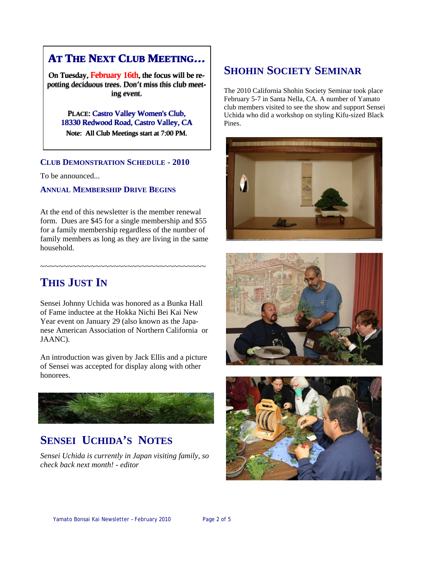## **AT THE NEXT CLUB MEETING… AT THE NEXT CLUB MEETING…**

On Tuesday, February 16th, the focus will be repotting deciduous trees. Don't miss this club meet-<br>ing event. ing event.

PLACE: Castro Valley Women's Club, PLACE: Castro 18330 Redwood Road, Castro Valley, CA 18330 Redwood Road, Castro Valley, CA

Note: All Club Meetings start at 7:00 PM. Note: All Club Meetings start at 7:00 PM.

#### **CLUB DEMONSTRATION SCHEDULE - 2010**

To be announced...

#### **ANNUAL MEMBERSHIP DRIVE BEGINS**

At the end of this newsletter is the member renewal form. Dues are \$45 for a single membership and \$55 for a family membership regardless of the number of family members as long as they are living in the same household.

~~~~~~~~~~~~~~~~~~~~~~~~~~~~~~~~~~~~

## **THIS JUST IN**

Sensei Johnny Uchida was honored as a Bunka Hall of Fame inductee at the Hokka Nichi Bei Kai New Year event on January 29 (also known as the Japanese American Association of Northern California or JAANC).

An introduction was given by Jack Ellis and a picture of Sensei was accepted for display along with other honorees.



## **SENSEI UCHIDA'S NOTES**

*Sensei Uchida is currently in Japan visiting family, so check back next month! - editor* 

## **SHOHIN SOCIETY SEMINAR**

The 2010 California Shohin Society Seminar took place February 5-7 in Santa Nella, CA. A number of Yamato club members visited to see the show and support Sensei Uchida who did a workshop on styling Kifu-sized Black Pines.





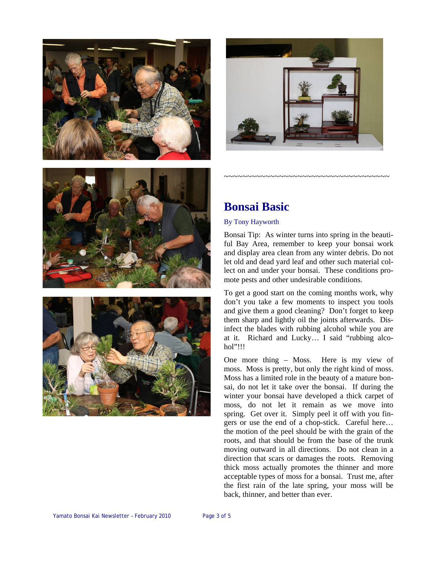







## **Bonsai Basic**

#### By Tony Hayworth

Bonsai Tip: As winter turns into spring in the beautiful Bay Area, remember to keep your bonsai work and display area clean from any winter debris. Do not let old and dead yard leaf and other such material collect on and under your bonsai. These conditions promote pests and other undesirable conditions.

~~~~~~~~~~~~~~~~~~~~~~~~~~~~~~~~~~~~

To get a good start on the coming months work, why don't you take a few moments to inspect you tools and give them a good cleaning? Don't forget to keep them sharp and lightly oil the joints afterwards. Disinfect the blades with rubbing alcohol while you are at it. Richard and Lucky… I said "rubbing alcohol"!!!

One more thing – Moss. Here is my view of moss. Moss is pretty, but only the right kind of moss. Moss has a limited role in the beauty of a mature bonsai, do not let it take over the bonsai. If during the winter your bonsai have developed a thick carpet of moss, do not let it remain as we move into spring. Get over it. Simply peel it off with you fingers or use the end of a chop-stick. Careful here… the motion of the peel should be with the grain of the roots, and that should be from the base of the trunk moving outward in all directions. Do not clean in a direction that scars or damages the roots. Removing thick moss actually promotes the thinner and more acceptable types of moss for a bonsai. Trust me, after the first rain of the late spring, your moss will be back, thinner, and better than ever.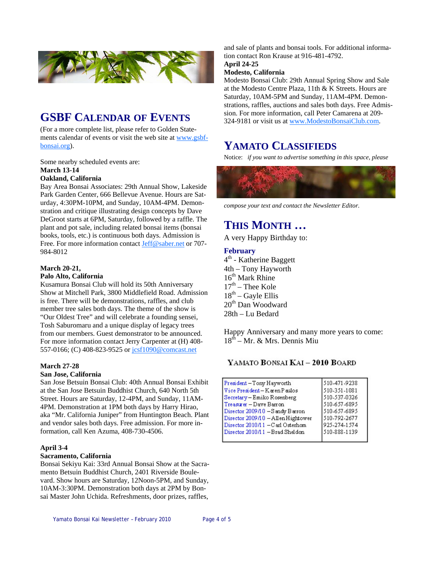

## **GSBF CALENDAR OF EVENTS**

(For a more complete list, please refer to Golden Statements calendar of events or visit the web site at [www.gsbf](http://www.gsbf-bonsai.org/)[bonsai.org](http://www.gsbf-bonsai.org/)).

Some nearby scheduled events are: **March 13-14** 

#### **Oakland, California**

Bay Area Bonsai Associates: 29th Annual Show, Lakeside Park Garden Center, 666 Bellevue Avenue. Hours are Saturday, 4:30PM-10PM, and Sunday, 10AM-4PM. Demonstration and critique illustrating design concepts by Dave DeGroot starts at 6PM, Saturday, followed by a raffle. The plant and pot sale, including related bonsai items (bonsai books, tools, etc.) is continuous both days. Admission is Free. For more information contact [Jeff@saber.net](mailto:Jeff@saber.net) or 707-984-8012

#### **March 20-21,**

#### **Palo Alto, California**

Kusamura Bonsai Club will hold its 50th Anniversary Show at Mitchell Park, 3800 Middlefield Road. Admission is free. There will be demonstrations, raffles, and club member tree sales both days. The theme of the show is "Our Oldest Tree" and will celebrate a founding sensei, Tosh Saburomaru and a unique display of legacy trees from our members. Guest demonstrator to be announced. For more information contact Jerry Carpenter at (H) 408 557-0166; (C) 408-823-9525 or [jcsf1090@comcast.net](mailto:jcsf1090@comcast.net)

#### **March 27-28**

#### **San Jose, California**

San Jose Betsuin Bonsai Club: 40th Annual Bonsai Exhibit at the San Jose Betsuin Buddhist Church, 640 North 5th Street. Hours are Saturday, 12-4PM, and Sunday, 11AM-4PM. Demonstration at 1PM both days by Harry Hirao, aka "Mr. California Juniper" from Huntington Beach. Plant and vendor sales both days. Free admission. For more information, call Ken Azuma, 408-730-4506.

#### **April 3-4**

#### **Sacramento, California**

Bonsai Sekiyu Kai: 33rd Annual Bonsai Show at the Sacramento Betsuin Buddhist Church, 2401 Riverside Boulevard. Show hours are Saturday, 12Noon-5PM, and Sunday, 10AM-3:30PM. Demonstration both days at 2PM by Bonsai Master John Uchida. Refreshments, door prizes, raffles,

and sale of plants and bonsai tools. For additional information contact Ron Krause at 916-481-4792.

#### **April 24-25**

#### **Modesto, California**

Modesto Bonsai Club: 29th Annual Spring Show and Sale at the Modesto Centre Plaza, 11th & K Streets. Hours are Saturday, 10AM-5PM and Sunday, 11AM-4PM. Demonstrations, raffles, auctions and sales both days. Free Admission. For more information, call Peter Camarena at 209- 324-9181 or visit us at [www.ModestoBonsaiClub.com](http://www.ModestoBonsaiClub.com).

### **YAMATO CLASSIFIEDS**

Notice: *if you want to advertise something in this space, please* 



*compose your text and contact the Newsletter Editor.* 

## **THIS MONTH …**

A very Happy Birthday to:

#### **February**

4<sup>th</sup> - Katherine Baggett 4th – Tony Hayworth  $16<sup>th</sup>$  Mark Rhine  $17<sup>th</sup>$  – Thee Kole  $18<sup>th</sup>$  – Gayle Ellis 20<sup>th</sup> Dan Woodward 28th – Lu Bedard

Happy Anniversary and many more years to come: 18th – Mr. & Mrs. Dennis Miu

#### YAMATO BONSAI KAI - 2010 BOARD

| President-Tony Hayworth            | 510-471-9238 |
|------------------------------------|--------------|
| Vice President-Karen Paulos        | 510-351-1081 |
| Secretary-Emiko Rosenberg          | 510-537-0326 |
| Treasurer - Dave Barron            | 510-657-6895 |
| Director 2009/10 - Sandy Barron    | 510-657-6895 |
| Director 2009/10 - Allen Hightower | 510-792-2677 |
| Director 2010/11 - Carl Osterhom   | 925-274-1574 |
| Director 2010/11 - Brad Sheldon    | 510-888-1139 |
|                                    |              |